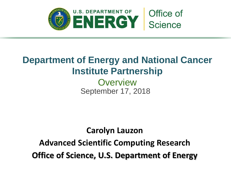

# **Department of Energy and National Cancer Institute Partnership**

September 17, 2018 **Overview** 

## **Carolyn Lauzon**

**Advanced Scientific Computing Research Office of Science, U.S. Department of Energy**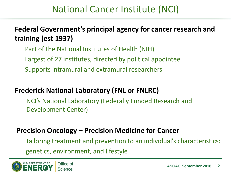# National Cancer Institute (NCI)

**Federal Government's principal agency for cancer research and training (est 1937)**

Part of the National Institutes of Health (NIH) Largest of 27 institutes, directed by political appointee Supports intramural and extramural researchers

## **Frederick National Laboratory (FNL or FNLRC)**

NCI's National Laboratory (Federally Funded Research and Development Center)

## **Precision Oncology – Precision Medicine for Cancer**

Tailoring treatment and prevention to an individual's characteristics: genetics, environment, and lifestyle

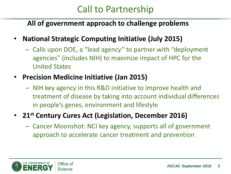# Call to Partnership

## **All of government approach to challenge problems**

- **National Strategic Computing Initiative (July 2015)** 
	- Calls upon DOE, a "lead agency" to partner with "deployment agencies" (includes NIH) to maximize impact of HPC for the United States
- **Precision Medicine Initiative (Jan 2015)**
	- NIH key agency in this R&D initiative to improve health and treatment of disease by taking into account individual differences in people's genes, environment and lifestyle
- **21st Century Cures Act (Legislation, December 2016)**
	- Cancer Moonshot: NCI key agency, supports all of government approach to accelerate cancer treatment and prevention

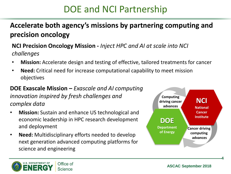# DOE and NCI Partnership

#### **G o Accelerate both agency's missions by partnering computing and a l precision oncology**

### **NCI Precision Oncology Mission -** *Inject HPC and AI at scale into NCI challenges*

- **Mission:** Accelerate design and testing of effective, tailored treatments for cancer
- **Need:** Critical need for increase computational capability to meet mission objectives

### **DOE Exascale Mission –** *Exascale and AI computing innovation inspired by fresh challenges and complex data*

- **Mission:** Sustain and enhance US technological and economic leadership in HPC research development and deployment
- **Need:** Multidisciplinary efforts needed to develop next generation advanced computing platforms for science and engineering





**4**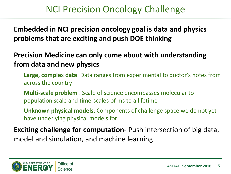# NCI Precision Oncology Challenge

**Embedded in NCI precision oncology goal is data and physics problems that are exciting and push DOE thinking**

## **Precision Medicine can only come about with understanding from data and new physics**

**Large, complex data**: Data ranges from experimental to doctor's notes from across the country

**Multi-scale problem** : Scale of science encompasses molecular to population scale and time-scales of ms to a lifetime

**Unknown physical models**: Components of challenge space we do not yet have underlying physical models for

**Exciting challenge for computation**- Push intersection of big data, model and simulation, and machine learning

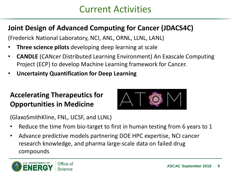## Current Activities

## **Joint Design of Advanced Computing for Cancer (JDACS4C)**

(Frederick National Laboratory, NCI, ANL, ORNL, LLNL, LANL)

- **Three science pilots** developing deep learning at scale
- **CANDLE** (CANcer Distributed Learning Environment) An Exascale Computing Project (ECP) to develop Machine Learning framework for Cancer.
- **Uncertainty Quantification for Deep Learning**

## **Accelerating Therapeutics for Opportunities in Medicine**



(GlaxoSmithKline, FNL, UCSF, and LLNL)

- Reduce the time from bio-target to first in human testing from 6 years to 1
- Advance predictive models partnering DOE HPC expertise, NCI cancer research knowledge, and pharma large-scale data on failed drug compounds

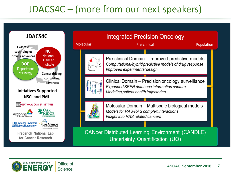# JDACS4C – (more from our next speakers)



**Integrated Precision Oncology** Pre-clinical Population Pre-clinical Domain - Improved predictive models Computational/hybrid predictive models of drug response Improved experimental design Clinical Domain - Precision oncology surveillance Expanded SEER database information capture Modeling patient health trajectories Molecular Domain - Multiscale biological models Models for RAS-RAS complex interactions Insight into RAS related cancers **CANcer Distributed Learning Environment (CANDLE)** Uncertainty Quantification (UQ)

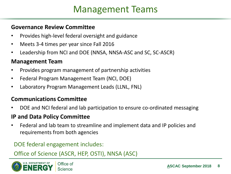# Management Teams

#### **Governance Review Committee**

- Provides high-level federal oversight and guidance
- Meets 3-4 times per year since Fall 2016
- Leadership from NCI and DOE (NNSA, NNSA-ASC and SC, SC-ASCR)

### **Management Team**

- Provides program management of partnership activities
- Federal Program Management Team (NCI, DOE)
- Laboratory Program Management Leads (LLNL, FNL)

### **Communications Committee**

• DOE and NCI federal and lab participation to ensure co-ordinated messaging

#### **IP and Data Policy Committee**

• Federal and lab team to streamline and implement data and IP policies and requirements from both agencies

### DOE federal engagement includes:

### Office of Science (ASCR, HEP, OSTI), NNSA (ASC)

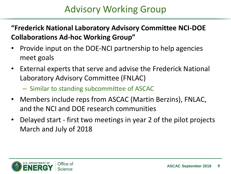# Advisory Working Group

## **"Frederick National Laboratory Advisory Committee NCI-DOE Collaborations Ad-hoc Working Group"**

- Provide input on the DOE-NCI partnership to help agencies meet goals
- External experts that serve and advise the Frederick National Laboratory Advisory Committee (FNLAC)
	- Similar to standing subcommittee of ASCAC
- Members include reps from ASCAC (Martin Berzins), FNLAC, and the NCI and DOE research communities
- Delayed start first two meetings in year 2 of the pilot projects March and July of 2018

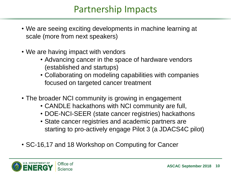# Partnership Impacts

- We are seeing exciting developments in machine learning at scale (more from next speakers)
- We are having impact with vendors
	- Advancing cancer in the space of hardware vendors (established and startups)
	- Collaborating on modeling capabilities with companies focused on targeted cancer treatment
- The broader NCI community is growing in engagement
	- CANDLE hackathons with NCI community are full,
	- DOE-NCI-SEER (state cancer registries) hackathons
	- State cancer registries and academic partners are starting to pro-actively engage Pilot 3 (a JDACS4C pilot)
- SC-16,17 and 18 Workshop on Computing for Cancer

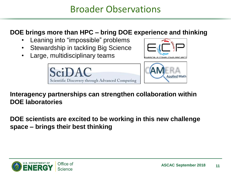## Broader Observations

### **DOE brings more than HPC – bring DOE experience and thinking**

- Leaning into "impossible" problems
- Stewardship in tackling Big Science
- Large, multidisciplinary teams







**Interagency partnerships can strengthen collaboration within DOE laboratories**

**DOE scientists are excited to be working in this new challenge space – brings their best thinking**